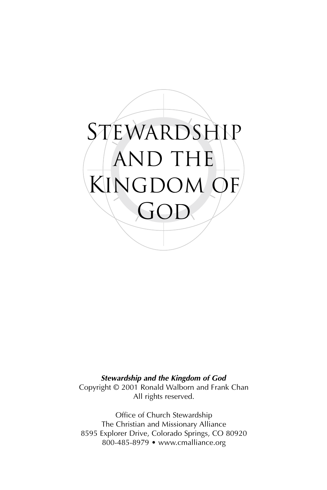

*Stewardship and the Kingdom of God*

Copyright © 2001 Ronald Walborn and Frank Chan All rights reserved.

Office of Church Stewardship The Christian and Missionary Alliance 8595 Explorer Drive, Colorado Springs, CO 80920 800-485-8979 • www.cmalliance.org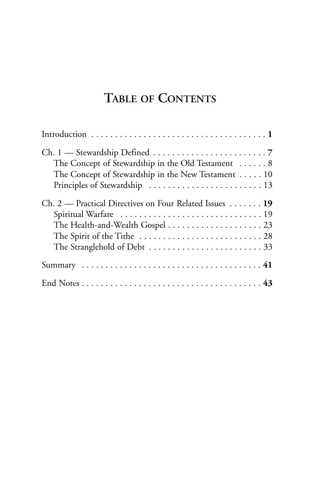### **TABLE OF CONTENTS**

| The Concept of Stewardship in the Old Testament  8<br>The Concept of Stewardship in the New Testament  10 |
|-----------------------------------------------------------------------------------------------------------|
| Ch. 2 — Practical Directives on Four Related Issues  19                                                   |
|                                                                                                           |
|                                                                                                           |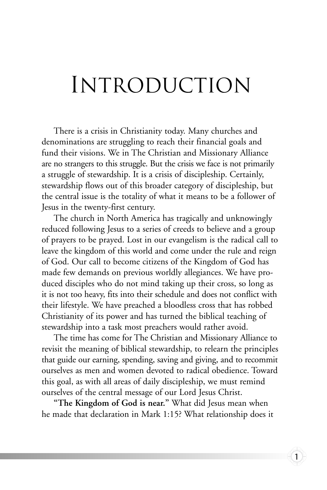### Introduction

There is a crisis in Christianity today. Many churches and denominations are struggling to reach their financial goals and fund their visions. We in The Christian and Missionary Alliance are no strangers to this struggle. But the crisis we face is not primarily a struggle of stewardship. It is a crisis of discipleship. Certainly, stewardship flows out of this broader category of discipleship, but the central issue is the totality of what it means to be a follower of Jesus in the twenty-first century.

The church in North America has tragically and unknowingly reduced following Jesus to a series of creeds to believe and a group of prayers to be prayed. Lost in our evangelism is the radical call to leave the kingdom of this world and come under the rule and reign of God. Our call to become citizens of the Kingdom of God has made few demands on previous worldly allegiances. We have produced disciples who do not mind taking up their cross, so long as it is not too heavy, fits into their schedule and does not conflict with their lifestyle. We have preached a bloodless cross that has robbed Christianity of its power and has turned the biblical teaching of stewardship into a task most preachers would rather avoid.

The time has come for The Christian and Missionary Alliance to revisit the meaning of biblical stewardship, to relearn the principles that guide our earning, spending, saving and giving, and to recommit ourselves as men and women devoted to radical obedience. Toward this goal, as with all areas of daily discipleship, we must remind ourselves of the central message of our Lord Jesus Christ.

**"The Kingdom of God is near."** What did Jesus mean when he made that declaration in Mark 1:15? What relationship does it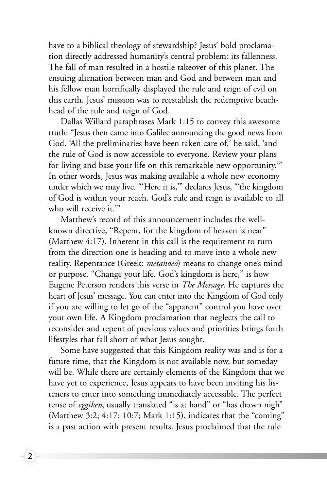have to a biblical theology of stewardship? Jesus' bold proclamation directly addressed humanity's central problem: its fallenness. The fall of man resulted in a hostile takeover of this planet. The ensuing alienation between man and God and between man and his fellow man horrifically displayed the rule and reign of evil on this earth. Jesus' mission was to reestablish the redemptive beachhead of the rule and reign of God.

Dallas Willard paraphrases Mark 1:15 to convey this awesome truth: "Jesus then came into Galilee announcing the good news from God. 'All the preliminaries have been taken care of,' he said, 'and the rule of God is now accessible to everyone. Review your plans for living and base your life on this remarkable new opportunity.'" In other words, Jesus was making available a whole new economy under which we may live. "'Here it is,'" declares Jesus, "'the kingdom of God is within your reach. God's rule and reign is available to all who will receive it.'"

Matthew's record of this announcement includes the wellknown directive, "Repent, for the kingdom of heaven is near" (Matthew 4:17). Inherent in this call is the requirement to turn from the direction one is heading and to move into a whole new reality. Repentance (Greek: *metanoeo*) means to change one's mind or purpose. "Change your life. God's kingdom is here," is how Eugene Peterson renders this verse in *The Message*. He captures the heart of Jesus' message. You can enter into the Kingdom of God only if you are willing to let go of the "apparent" control you have over your own life. A Kingdom proclamation that neglects the call to reconsider and repent of previous values and priorities brings forth lifestyles that fall short of what Jesus sought.

Some have suggested that this Kingdom reality was and is for a future time, that the Kingdom is not available now, but someday will be. While there are certainly elements of the Kingdom that we have yet to experience, Jesus appears to have been inviting his listeners to enter into something immediately accessible. The perfect tense of *eggiken*, usually translated "is at hand" or "has drawn nigh" (Matthew 3:2; 4:17; 10:7; Mark 1:15), indicates that the "coming" is a past action with present results. Jesus proclaimed that the rule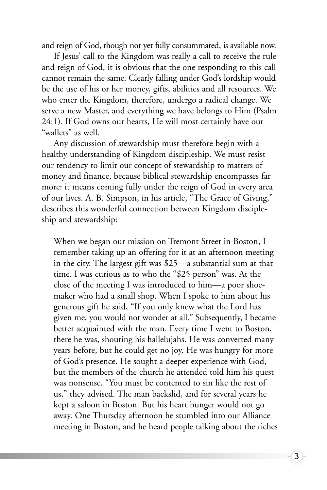and reign of God, though not yet fully consummated, is available now.

If Jesus' call to the Kingdom was really a call to receive the rule and reign of God, it is obvious that the one responding to this call cannot remain the same. Clearly falling under God's lordship would be the use of his or her money, gifts, abilities and all resources. We who enter the Kingdom, therefore, undergo a radical change. We serve a new Master, and everything we have belongs to Him (Psalm 24:1). If God owns our hearts, He will most certainly have our "wallets" as well.

Any discussion of stewardship must therefore begin with a healthy understanding of Kingdom discipleship. We must resist our tendency to limit our concept of stewardship to matters of money and finance, because biblical stewardship encompasses far more: it means coming fully under the reign of God in every area of our lives. A. B. Simpson, in his article, "The Grace of Giving," describes this wonderful connection between Kingdom discipleship and stewardship:

When we began our mission on Tremont Street in Boston, I remember taking up an offering for it at an afternoon meeting in the city. The largest gift was \$25—a substantial sum at that time. I was curious as to who the "\$25 person" was. At the close of the meeting I was introduced to him—a poor shoemaker who had a small shop. When I spoke to him about his generous gift he said, "If you only knew what the Lord has given me, you would not wonder at all." Subsequently, I became better acquainted with the man. Every time I went to Boston, there he was, shouting his hallelujahs. He was converted many years before, but he could get no joy. He was hungry for more of God's presence. He sought a deeper experience with God, but the members of the church he attended told him his quest was nonsense. "You must be contented to sin like the rest of us," they advised. The man backslid, and for several years he kept a saloon in Boston. But his heart hunger would not go away. One Thursday afternoon he stumbled into our Alliance meeting in Boston, and he heard people talking about the riches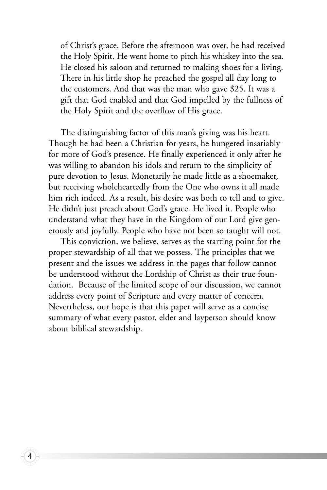of Christ's grace. Before the afternoon was over, he had received the Holy Spirit. He went home to pitch his whiskey into the sea. He closed his saloon and returned to making shoes for a living. There in his little shop he preached the gospel all day long to the customers. And that was the man who gave \$25. It was a gift that God enabled and that God impelled by the fullness of the Holy Spirit and the overflow of His grace.

The distinguishing factor of this man's giving was his heart. Though he had been a Christian for years, he hungered insatiably for more of God's presence. He finally experienced it only after he was willing to abandon his idols and return to the simplicity of pure devotion to Jesus. Monetarily he made little as a shoemaker, but receiving wholeheartedly from the One who owns it all made him rich indeed. As a result, his desire was both to tell and to give. He didn't just preach about God's grace. He lived it. People who understand what they have in the Kingdom of our Lord give generously and joyfully. People who have not been so taught will not.

This conviction, we believe, serves as the starting point for the proper stewardship of all that we possess. The principles that we present and the issues we address in the pages that follow cannot be understood without the Lordship of Christ as their true foundation. Because of the limited scope of our discussion, we cannot address every point of Scripture and every matter of concern. Nevertheless, our hope is that this paper will serve as a concise summary of what every pastor, elder and layperson should know about biblical stewardship.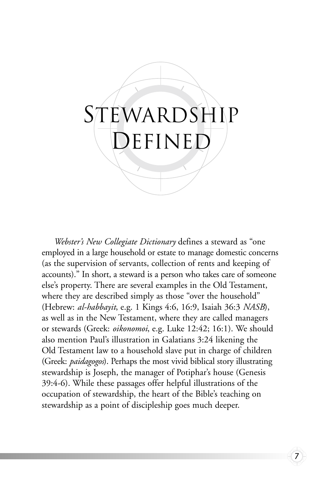# STEWARDSHIP DEFINED

*Webster's New Collegiate Dictionary* defines a steward as "one employed in a large household or estate to manage domestic concerns (as the supervision of servants, collection of rents and keeping of accounts)." In short, a steward is a person who takes care of someone else's property. There are several examples in the Old Testament, where they are described simply as those "over the household" (Hebrew: *al-habbayit*, e.g. 1 Kings 4:6, 16:9, Isaiah 36:3 *NASB*), as well as in the New Testament, where they are called managers or stewards (Greek: *oikonomoi*, e.g. Luke 12:42; 16:1). We should also mention Paul's illustration in Galatians 3:24 likening the Old Testament law to a household slave put in charge of children (Greek: *paidagogos*). Perhaps the most vivid biblical story illustrating stewardship is Joseph, the manager of Potiphar's house (Genesis 39:4-6). While these passages offer helpful illustrations of the occupation of stewardship, the heart of the Bible's teaching on stewardship as a point of discipleship goes much deeper.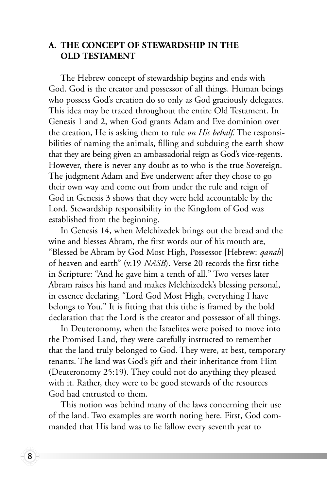#### **A. THE CONCEPT OF STEWARDSHIP IN THE OLD TESTAMENT**

The Hebrew concept of stewardship begins and ends with God. God is the creator and possessor of all things. Human beings who possess God's creation do so only as God graciously delegates. This idea may be traced throughout the entire Old Testament. In Genesis 1 and 2, when God grants Adam and Eve dominion over the creation, He is asking them to rule *on His behalf*. The responsibilities of naming the animals, filling and subduing the earth show that they are being given an ambassadorial reign as God's vice-regents. However, there is never any doubt as to who is the true Sovereign. The judgment Adam and Eve underwent after they chose to go their own way and come out from under the rule and reign of God in Genesis 3 shows that they were held accountable by the Lord. Stewardship responsibility in the Kingdom of God was established from the beginning.

In Genesis 14, when Melchizedek brings out the bread and the wine and blesses Abram, the first words out of his mouth are, "Blessed be Abram by God Most High, Possessor [Hebrew: *qanah*] of heaven and earth" (v.19 *NASB*). Verse 20 records the first tithe in Scripture: "And he gave him a tenth of all." Two verses later Abram raises his hand and makes Melchizedek's blessing personal, in essence declaring, "Lord God Most High, everything I have belongs to You." It is fitting that this tithe is framed by the bold declaration that the Lord is the creator and possessor of all things.

In Deuteronomy, when the Israelites were poised to move into the Promised Land, they were carefully instructed to remember that the land truly belonged to God. They were, at best, temporary tenants. The land was God's gift and their inheritance from Him (Deuteronomy 25:19). They could not do anything they pleased with it. Rather, they were to be good stewards of the resources God had entrusted to them.

This notion was behind many of the laws concerning their use of the land. Two examples are worth noting here. First, God commanded that His land was to lie fallow every seventh year to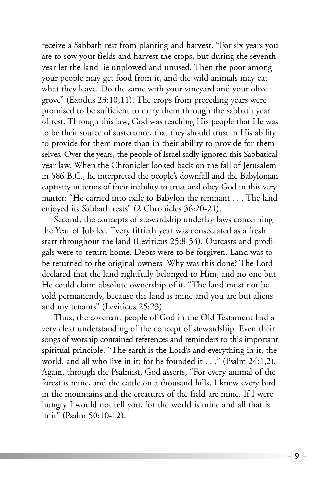receive a Sabbath rest from planting and harvest. "For six years you are to sow your fields and harvest the crops, but during the seventh year let the land lie unplowed and unused. Then the poor among your people may get food from it, and the wild animals may eat what they leave. Do the same with your vineyard and your olive grove" (Exodus 23:10,11). The crops from preceding years were promised to be sufficient to carry them through the sabbath year of rest. Through this law, God was teaching His people that He was to be their source of sustenance, that they should trust in His ability to provide for them more than in their ability to provide for themselves. Over the years, the people of Israel sadly ignored this Sabbatical year law. When the Chronicler looked back on the fall of Jerusalem in 586 B.C., he interpreted the people's downfall and the Babylonian captivity in terms of their inability to trust and obey God in this very matter: "He carried into exile to Babylon the remnant . . . The land enjoyed its Sabbath rests" (2 Chronicles 36:20-21).

Second, the concepts of stewardship underlay laws concerning the Year of Jubilee. Every fiftieth year was consecrated as a fresh start throughout the land (Leviticus 25:8-54). Outcasts and prodigals were to return home. Debts were to be forgiven. Land was to be returned to the original owners. Why was this done? The Lord declared that the land rightfully belonged to Him, and no one but He could claim absolute ownership of it. "The land must not be sold permanently, because the land is mine and you are but aliens and my tenants" (Leviticus 25:23).

Thus, the covenant people of God in the Old Testament had a very clear understanding of the concept of stewardship. Even their songs of worship contained references and reminders to this important spiritual principle. "The earth is the Lord's and everything in it, the world, and all who live in it; for he founded it . . ." (Psalm 24:1,2). Again, through the Psalmist, God asserts, "For every animal of the forest is mine, and the cattle on a thousand hills. I know every bird in the mountains and the creatures of the field are mine. If I were hungry I would not tell you, for the world is mine and all that is in it" (Psalm 50:10-12).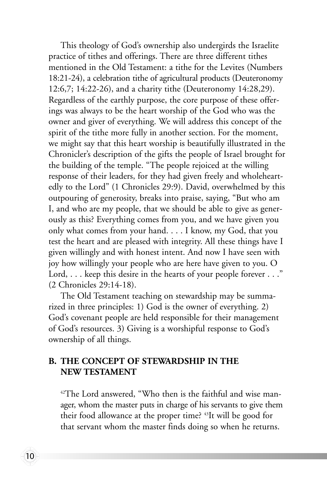This theology of God's ownership also undergirds the Israelite practice of tithes and offerings. There are three different tithes mentioned in the Old Testament: a tithe for the Levites (Numbers 18:21-24), a celebration tithe of agricultural products (Deuteronomy 12:6,7; 14:22-26), and a charity tithe (Deuteronomy 14:28,29). Regardless of the earthly purpose, the core purpose of these offerings was always to be the heart worship of the God who was the owner and giver of everything. We will address this concept of the spirit of the tithe more fully in another section. For the moment, we might say that this heart worship is beautifully illustrated in the Chronicler's description of the gifts the people of Israel brought for the building of the temple. "The people rejoiced at the willing response of their leaders, for they had given freely and wholeheartedly to the Lord" (1 Chronicles 29:9). David, overwhelmed by this outpouring of generosity, breaks into praise, saying, "But who am I, and who are my people, that we should be able to give as generously as this? Everything comes from you, and we have given you only what comes from your hand. . . . I know, my God, that you test the heart and are pleased with integrity. All these things have I given willingly and with honest intent. And now I have seen with joy how willingly your people who are here have given to you. O Lord, . . . keep this desire in the hearts of your people forever . . ." (2 Chronicles 29:14-18).

The Old Testament teaching on stewardship may be summarized in three principles: 1) God is the owner of everything. 2) God's covenant people are held responsible for their management of God's resources. 3) Giving is a worshipful response to God's ownership of all things.

#### **B. THE CONCEPT OF STEWARDSHIP IN THE NEW TESTAMENT**

10

<sup>42</sup>The Lord answered, "Who then is the faithful and wise manager, whom the master puts in charge of his servants to give them their food allowance at the proper time? 43It will be good for that servant whom the master finds doing so when he returns.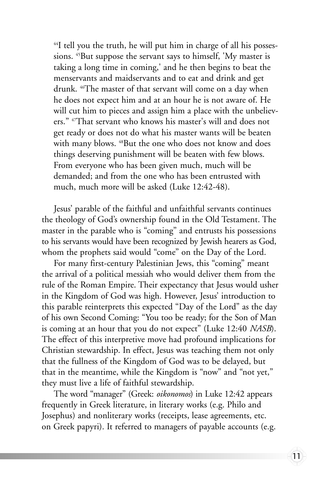$44$ I tell you the truth, he will put him in charge of all his possessions. <sup>45</sup>But suppose the servant says to himself, 'My master is taking a long time in coming,' and he then begins to beat the menservants and maidservants and to eat and drink and get drunk. 46The master of that servant will come on a day when he does not expect him and at an hour he is not aware of. He will cut him to pieces and assign him a place with the unbelievers." 47That servant who knows his master's will and does not get ready or does not do what his master wants will be beaten with many blows. <sup>48</sup>But the one who does not know and does things deserving punishment will be beaten with few blows. From everyone who has been given much, much will be demanded; and from the one who has been entrusted with much, much more will be asked (Luke 12:42-48).

Jesus' parable of the faithful and unfaithful servants continues the theology of God's ownership found in the Old Testament. The master in the parable who is "coming" and entrusts his possessions to his servants would have been recognized by Jewish hearers as God, whom the prophets said would "come" on the Day of the Lord.

For many first-century Palestinian Jews, this "coming" meant the arrival of a political messiah who would deliver them from the rule of the Roman Empire. Their expectancy that Jesus would usher in the Kingdom of God was high. However, Jesus' introduction to this parable reinterprets this expected "Day of the Lord" as the day of his own Second Coming: "You too be ready; for the Son of Man is coming at an hour that you do not expect" (Luke 12:40 *NASB*). The effect of this interpretive move had profound implications for Christian stewardship. In effect, Jesus was teaching them not only that the fullness of the Kingdom of God was to be delayed, but that in the meantime, while the Kingdom is "now" and "not yet," they must live a life of faithful stewardship.

The word "manager" (Greek: *oikonomos*) in Luke 12:42 appears frequently in Greek literature, in literary works (e.g. Philo and Josephus) and nonliterary works (receipts, lease agreements, etc. on Greek papyri). It referred to managers of payable accounts (e.g.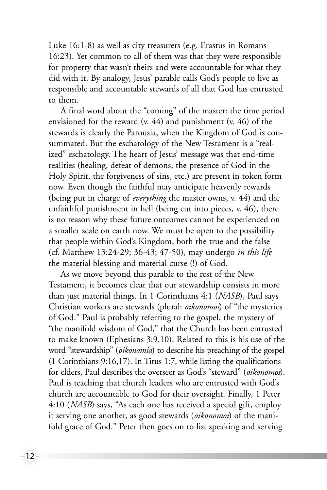Luke 16:1-8) as well as city treasurers (e.g. Erastus in Romans 16:23). Yet common to all of them was that they were responsible for property that wasn't theirs and were accountable for what they did with it. By analogy, Jesus' parable calls God's people to live as responsible and accountable stewards of all that God has entrusted to them.

A final word about the "coming" of the master: the time period envisioned for the reward (v. 44) and punishment (v. 46) of the stewards is clearly the Parousia, when the Kingdom of God is consummated. But the eschatology of the New Testament is a "realized" eschatology. The heart of Jesus' message was that end-time realities (healing, defeat of demons, the presence of God in the Holy Spirit, the forgiveness of sins, etc.) are present in token form now. Even though the faithful may anticipate heavenly rewards (being put in charge of *everything* the master owns, v. 44) and the unfaithful punishment in hell (being cut into pieces, v. 46), there is no reason why these future outcomes cannot be experienced on a smaller scale on earth now. We must be open to the possibility that people within God's Kingdom, both the true and the false (cf. Matthew 13:24-29; 36-43; 47-50), may undergo *in this life* the material blessing and material curse (!) of God.

As we move beyond this parable to the rest of the New Testament, it becomes clear that our stewardship consists in more than just material things. In 1 Corinthians 4:1 (*NASB*), Paul says Christian workers are stewards (plural: *oikonomoi*) of "the mysteries of God." Paul is probably referring to the gospel, the mystery of "the manifold wisdom of God," that the Church has been entrusted to make known (Ephesians 3:9,10). Related to this is his use of the word "stewardship" (*oikonomia*) to describe his preaching of the gospel (1 Corinthians 9:16,17). In Titus 1:7, while listing the qualifications for elders, Paul describes the overseer as God's "steward" (*oikonomos*). Paul is teaching that church leaders who are entrusted with God's church are accountable to God for their oversight. Finally, 1 Peter 4:10 (*NASB*) says, "As each one has received a special gift, employ it serving one another, as good stewards (*oikonomoi*) of the manifold grace of God." Peter then goes on to list speaking and serving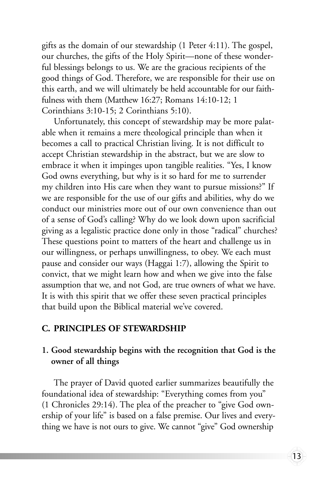gifts as the domain of our stewardship (1 Peter 4:11). The gospel, our churches, the gifts of the Holy Spirit—none of these wonderful blessings belongs to us. We are the gracious recipients of the good things of God. Therefore, we are responsible for their use on this earth, and we will ultimately be held accountable for our faithfulness with them (Matthew 16:27; Romans 14:10-12; 1 Corinthians 3:10-15; 2 Corinthians 5:10).

Unfortunately, this concept of stewardship may be more palatable when it remains a mere theological principle than when it becomes a call to practical Christian living. It is not difficult to accept Christian stewardship in the abstract, but we are slow to embrace it when it impinges upon tangible realities. "Yes, I know God owns everything, but why is it so hard for me to surrender my children into His care when they want to pursue missions?" If we are responsible for the use of our gifts and abilities, why do we conduct our ministries more out of our own convenience than out of a sense of God's calling? Why do we look down upon sacrificial giving as a legalistic practice done only in those "radical" churches? These questions point to matters of the heart and challenge us in our willingness, or perhaps unwillingness, to obey. We each must pause and consider our ways (Haggai 1:7), allowing the Spirit to convict, that we might learn how and when we give into the false assumption that we, and not God, are true owners of what we have. It is with this spirit that we offer these seven practical principles that build upon the Biblical material we've covered.

#### **C. PRINCIPLES OF STEWARDSHIP**

#### **1. Good stewardship begins with the recognition that God is the owner of all things**

The prayer of David quoted earlier summarizes beautifully the foundational idea of stewardship: "Everything comes from you" (1 Chronicles 29:14). The plea of the preacher to "give God ownership of your life" is based on a false premise. Our lives and everything we have is not ours to give. We cannot "give" God ownership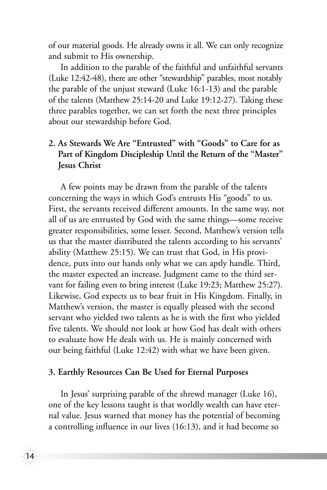of our material goods. He already owns it all. We can only recognize and submit to His ownership.

In addition to the parable of the faithful and unfaithful servants (Luke 12:42-48), there are other "stewardship" parables, most notably the parable of the unjust steward (Luke 16:1-13) and the parable of the talents (Matthew 25:14-20 and Luke 19:12-27). Taking these three parables together, we can set forth the next three principles about our stewardship before God.

#### **2. As Stewards We Are "Entrusted" with "Goods" to Care for as Part of Kingdom Discipleship Until the Return of the "Master" Jesus Christ**

A few points may be drawn from the parable of the talents concerning the ways in which God's entrusts His "goods" to us. First, the servants received different amounts. In the same way, not all of us are entrusted by God with the same things—some receive greater responsibilities, some lesser. Second, Matthew's version tells us that the master distributed the talents according to his servants' ability (Matthew 25:15). We can trust that God, in His providence, puts into our hands only what we can aptly handle. Third, the master expected an increase. Judgment came to the third servant for failing even to bring interest (Luke 19:23; Matthew 25:27). Likewise, God expects us to bear fruit in His Kingdom. Finally, in Matthew's version, the master is equally pleased with the second servant who yielded two talents as he is with the first who yielded five talents. We should not look at how God has dealt with others to evaluate how He deals with us. He is mainly concerned with our being faithful (Luke 12:42) with what we have been given.

#### **3. Earthly Resources Can Be Used for Eternal Purposes**

In Jesus' surprising parable of the shrewd manager (Luke 16), one of the key lessons taught is that worldly wealth can have eternal value. Jesus warned that money has the potential of becoming a controlling influence in our lives (16:13), and it had become so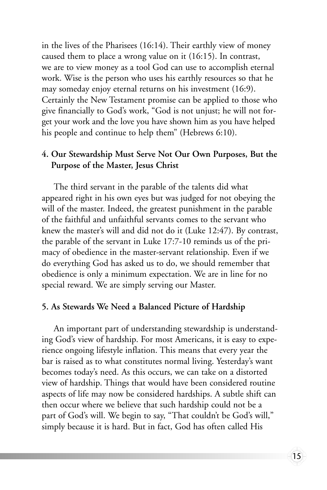in the lives of the Pharisees (16:14). Their earthly view of money caused them to place a wrong value on it (16:15). In contrast, we are to view money as a tool God can use to accomplish eternal work. Wise is the person who uses his earthly resources so that he may someday enjoy eternal returns on his investment (16:9). Certainly the New Testament promise can be applied to those who give financially to God's work, "God is not unjust; he will not forget your work and the love you have shown him as you have helped his people and continue to help them" (Hebrews 6:10).

#### **4. Our Stewardship Must Serve Not Our Own Purposes, But the Purpose of the Master, Jesus Christ**

The third servant in the parable of the talents did what appeared right in his own eyes but was judged for not obeying the will of the master. Indeed, the greatest punishment in the parable of the faithful and unfaithful servants comes to the servant who knew the master's will and did not do it (Luke 12:47). By contrast, the parable of the servant in Luke 17:7-10 reminds us of the primacy of obedience in the master-servant relationship. Even if we do everything God has asked us to do, we should remember that obedience is only a minimum expectation. We are in line for no special reward. We are simply serving our Master.

#### **5. As Stewards We Need a Balanced Picture of Hardship**

An important part of understanding stewardship is understanding God's view of hardship. For most Americans, it is easy to experience ongoing lifestyle inflation. This means that every year the bar is raised as to what constitutes normal living. Yesterday's want becomes today's need. As this occurs, we can take on a distorted view of hardship. Things that would have been considered routine aspects of life may now be considered hardships. A subtle shift can then occur where we believe that such hardship could not be a part of God's will. We begin to say, "That couldn't be God's will," simply because it is hard. But in fact, God has often called His

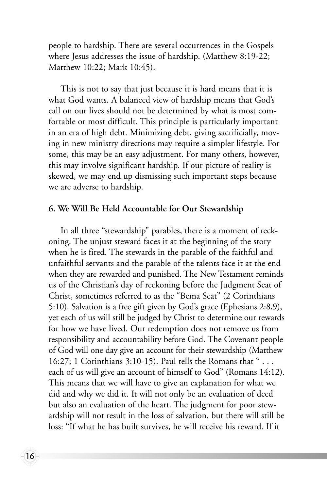people to hardship. There are several occurrences in the Gospels where Jesus addresses the issue of hardship. (Matthew 8:19-22; Matthew 10:22; Mark 10:45).

This is not to say that just because it is hard means that it is what God wants. A balanced view of hardship means that God's call on our lives should not be determined by what is most comfortable or most difficult. This principle is particularly important in an era of high debt. Minimizing debt, giving sacrificially, moving in new ministry directions may require a simpler lifestyle. For some, this may be an easy adjustment. For many others, however, this may involve significant hardship. If our picture of reality is skewed, we may end up dismissing such important steps because we are adverse to hardship.

#### **6. We Will Be Held Accountable for Our Stewardship**

In all three "stewardship" parables, there is a moment of reckoning. The unjust steward faces it at the beginning of the story when he is fired. The stewards in the parable of the faithful and unfaithful servants and the parable of the talents face it at the end when they are rewarded and punished. The New Testament reminds us of the Christian's day of reckoning before the Judgment Seat of Christ, sometimes referred to as the "Bema Seat" (2 Corinthians 5:10). Salvation is a free gift given by God's grace (Ephesians 2:8,9), yet each of us will still be judged by Christ to determine our rewards for how we have lived. Our redemption does not remove us from responsibility and accountability before God. The Covenant people of God will one day give an account for their stewardship (Matthew 16:27; 1 Corinthians 3:10-15). Paul tells the Romans that " . . . each of us will give an account of himself to God" (Romans 14:12). This means that we will have to give an explanation for what we did and why we did it. It will not only be an evaluation of deed but also an evaluation of the heart. The judgment for poor stewardship will not result in the loss of salvation, but there will still be loss: "If what he has built survives, he will receive his reward. If it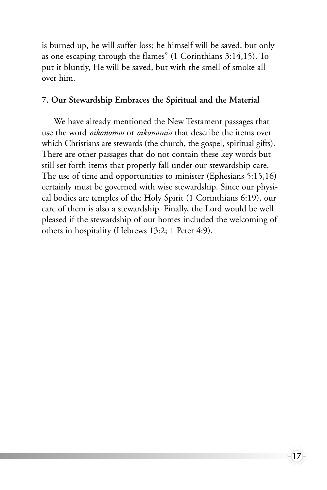is burned up, he will suffer loss; he himself will be saved, but only as one escaping through the flames" (1 Corinthians 3:14,15). To put it bluntly, He will be saved, but with the smell of smoke all over him.

#### **7. Our Stewardship Embraces the Spiritual and the Material**

We have already mentioned the New Testament passages that use the word *oikonomos* or *oikonomia* that describe the items over which Christians are stewards (the church, the gospel, spiritual gifts). There are other passages that do not contain these key words but still set forth items that properly fall under our stewardship care. The use of time and opportunities to minister (Ephesians 5:15,16) certainly must be governed with wise stewardship. Since our physical bodies are temples of the Holy Spirit (1 Corinthians 6:19), our care of them is also a stewardship. Finally, the Lord would be well pleased if the stewardship of our homes included the welcoming of others in hospitality (Hebrews 13:2; 1 Peter 4:9).

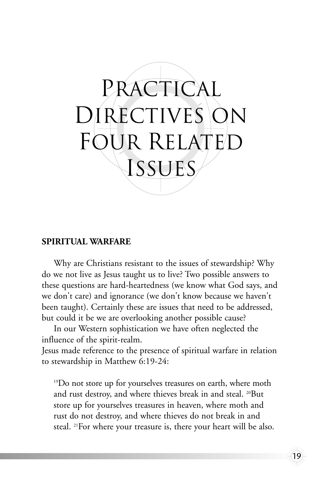

#### **SPIRITUAL WARFARE**

Why are Christians resistant to the issues of stewardship? Why do we not live as Jesus taught us to live? Two possible answers to these questions are hard-heartedness (we know what God says, and we don't care) and ignorance (we don't know because we haven't been taught). Certainly these are issues that need to be addressed, but could it be we are overlooking another possible cause?

In our Western sophistication we have often neglected the influence of the spirit-realm.

Jesus made reference to the presence of spiritual warfare in relation to stewardship in Matthew 6:19-24:

<sup>19</sup>Do not store up for yourselves treasures on earth, where moth and rust destroy, and where thieves break in and steal. 20But store up for yourselves treasures in heaven, where moth and rust do not destroy, and where thieves do not break in and steal. 21For where your treasure is, there your heart will be also.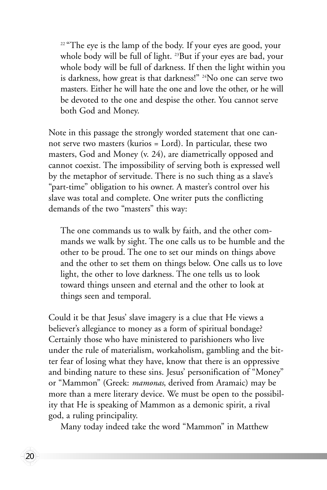$22$  "The eye is the lamp of the body. If your eyes are good, your whole body will be full of light. <sup>23</sup>But if your eyes are bad, your whole body will be full of darkness. If then the light within you is darkness, how great is that darkness!" 24No one can serve two masters. Either he will hate the one and love the other, or he will be devoted to the one and despise the other. You cannot serve both God and Money.

Note in this passage the strongly worded statement that one cannot serve two masters (kurios = Lord). In particular, these two masters, God and Money (v. 24), are diametrically opposed and cannot coexist. The impossibility of serving both is expressed well by the metaphor of servitude. There is no such thing as a slave's "part-time" obligation to his owner. A master's control over his slave was total and complete. One writer puts the conflicting demands of the two "masters" this way:

The one commands us to walk by faith, and the other commands we walk by sight. The one calls us to be humble and the other to be proud. The one to set our minds on things above and the other to set them on things below. One calls us to love light, the other to love darkness. The one tells us to look toward things unseen and eternal and the other to look at things seen and temporal.

Could it be that Jesus' slave imagery is a clue that He views a believer's allegiance to money as a form of spiritual bondage? Certainly those who have ministered to parishioners who live under the rule of materialism, workaholism, gambling and the bitter fear of losing what they have, know that there is an oppressive and binding nature to these sins. Jesus' personification of "Money" or "Mammon" (Greek: *mamonas*, derived from Aramaic) may be more than a mere literary device. We must be open to the possibility that He is speaking of Mammon as a demonic spirit, a rival god, a ruling principality.

Many today indeed take the word "Mammon" in Matthew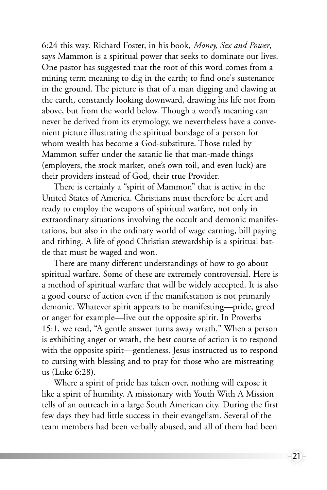6:24 this way. Richard Foster, in his book, *Money, Sex and Power*, says Mammon is a spiritual power that seeks to dominate our lives. One pastor has suggested that the root of this word comes from a mining term meaning to dig in the earth; to find one's sustenance in the ground. The picture is that of a man digging and clawing at the earth, constantly looking downward, drawing his life not from above, but from the world below. Though a word's meaning can never be derived from its etymology, we nevertheless have a convenient picture illustrating the spiritual bondage of a person for whom wealth has become a God-substitute. Those ruled by Mammon suffer under the satanic lie that man-made things (employers, the stock market, one's own toil, and even luck) are their providers instead of God, their true Provider.

There is certainly a "spirit of Mammon" that is active in the United States of America. Christians must therefore be alert and ready to employ the weapons of spiritual warfare, not only in extraordinary situations involving the occult and demonic manifestations, but also in the ordinary world of wage earning, bill paying and tithing. A life of good Christian stewardship is a spiritual battle that must be waged and won.

There are many different understandings of how to go about spiritual warfare. Some of these are extremely controversial. Here is a method of spiritual warfare that will be widely accepted. It is also a good course of action even if the manifestation is not primarily demonic. Whatever spirit appears to be manifesting—pride, greed or anger for example—live out the opposite spirit. In Proverbs 15:1, we read, "A gentle answer turns away wrath." When a person is exhibiting anger or wrath, the best course of action is to respond with the opposite spirit—gentleness. Jesus instructed us to respond to cursing with blessing and to pray for those who are mistreating us (Luke 6:28).

Where a spirit of pride has taken over, nothing will expose it like a spirit of humility. A missionary with Youth With A Mission tells of an outreach in a large South American city. During the first few days they had little success in their evangelism. Several of the team members had been verbally abused, and all of them had been

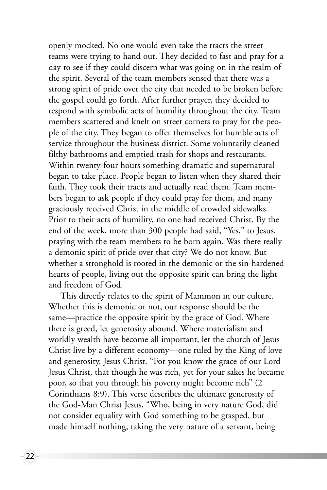openly mocked. No one would even take the tracts the street teams were trying to hand out. They decided to fast and pray for a day to see if they could discern what was going on in the realm of the spirit. Several of the team members sensed that there was a strong spirit of pride over the city that needed to be broken before the gospel could go forth. After further prayer, they decided to respond with symbolic acts of humility throughout the city. Team members scattered and knelt on street corners to pray for the people of the city. They began to offer themselves for humble acts of service throughout the business district. Some voluntarily cleaned filthy bathrooms and emptied trash for shops and restaurants. Within twenty-four hours something dramatic and supernatural began to take place. People began to listen when they shared their faith. They took their tracts and actually read them. Team members began to ask people if they could pray for them, and many graciously received Christ in the middle of crowded sidewalks. Prior to their acts of humility, no one had received Christ. By the end of the week, more than 300 people had said, "Yes," to Jesus, praying with the team members to be born again. Was there really a demonic spirit of pride over that city? We do not know. But whether a stronghold is rooted in the demonic or the sin-hardened hearts of people, living out the opposite spirit can bring the light and freedom of God.

This directly relates to the spirit of Mammon in our culture. Whether this is demonic or not, our response should be the same—practice the opposite spirit by the grace of God. Where there is greed, let generosity abound. Where materialism and worldly wealth have become all important, let the church of Jesus Christ live by a different economy—one ruled by the King of love and generosity, Jesus Christ. "For you know the grace of our Lord Jesus Christ, that though he was rich, yet for your sakes he became poor, so that you through his poverty might become rich" (2 Corinthians 8:9). This verse describes the ultimate generosity of the God-Man Christ Jesus, "Who, being in very nature God, did not consider equality with God something to be grasped, but made himself nothing, taking the very nature of a servant, being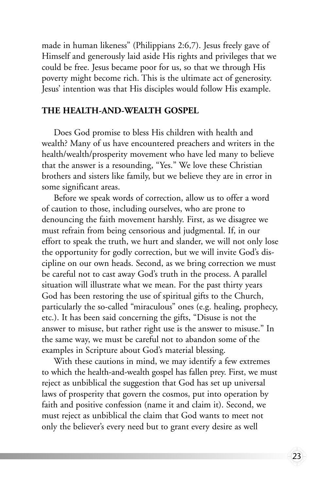made in human likeness" (Philippians 2:6,7). Jesus freely gave of Himself and generously laid aside His rights and privileges that we could be free. Jesus became poor for us, so that we through His poverty might become rich. This is the ultimate act of generosity. Jesus' intention was that His disciples would follow His example.

#### **THE HEALTH-AND-WEALTH GOSPEL**

Does God promise to bless His children with health and wealth? Many of us have encountered preachers and writers in the health/wealth/prosperity movement who have led many to believe that the answer is a resounding, "Yes." We love these Christian brothers and sisters like family, but we believe they are in error in some significant areas.

Before we speak words of correction, allow us to offer a word of caution to those, including ourselves, who are prone to denouncing the faith movement harshly. First, as we disagree we must refrain from being censorious and judgmental. If, in our effort to speak the truth, we hurt and slander, we will not only lose the opportunity for godly correction, but we will invite God's discipline on our own heads. Second, as we bring correction we must be careful not to cast away God's truth in the process. A parallel situation will illustrate what we mean. For the past thirty years God has been restoring the use of spiritual gifts to the Church, particularly the so-called "miraculous" ones (e.g. healing, prophecy, etc.). It has been said concerning the gifts, "Disuse is not the answer to misuse, but rather right use is the answer to misuse." In the same way, we must be careful not to abandon some of the examples in Scripture about God's material blessing.

With these cautions in mind, we may identify a few extremes to which the health-and-wealth gospel has fallen prey. First, we must reject as unbiblical the suggestion that God has set up universal laws of prosperity that govern the cosmos, put into operation by faith and positive confession (name it and claim it). Second, we must reject as unbiblical the claim that God wants to meet not only the believer's every need but to grant every desire as well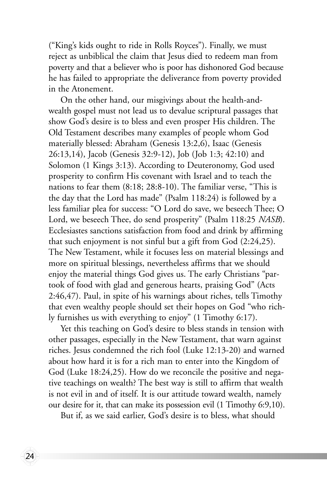("King's kids ought to ride in Rolls Royces"). Finally, we must reject as unbiblical the claim that Jesus died to redeem man from poverty and that a believer who is poor has dishonored God because he has failed to appropriate the deliverance from poverty provided in the Atonement.

On the other hand, our misgivings about the health-andwealth gospel must not lead us to devalue scriptural passages that show God's desire is to bless and even prosper His children. The Old Testament describes many examples of people whom God materially blessed: Abraham (Genesis 13:2,6), Isaac (Genesis 26:13,14), Jacob (Genesis 32:9-12), Job (Job 1:3; 42:10) and Solomon (1 Kings 3:13). According to Deuteronomy, God used prosperity to confirm His covenant with Israel and to teach the nations to fear them (8:18; 28:8-10). The familiar verse, "This is the day that the Lord has made" (Psalm 118:24) is followed by a less familiar plea for success: "O Lord do save, we beseech Thee; O Lord, we beseech Thee, do send prosperity" (Psalm 118:25 *NASB*). Ecclesiastes sanctions satisfaction from food and drink by affirming that such enjoyment is not sinful but a gift from God (2:24,25). The New Testament, while it focuses less on material blessings and more on spiritual blessings, nevertheless affirms that we should enjoy the material things God gives us. The early Christians "partook of food with glad and generous hearts, praising God" (Acts 2:46,47). Paul, in spite of his warnings about riches, tells Timothy that even wealthy people should set their hopes on God "who richly furnishes us with everything to enjoy" (1 Timothy 6:17).

Yet this teaching on God's desire to bless stands in tension with other passages, especially in the New Testament, that warn against riches. Jesus condemned the rich fool (Luke 12:13-20) and warned about how hard it is for a rich man to enter into the Kingdom of God (Luke 18:24,25). How do we reconcile the positive and negative teachings on wealth? The best way is still to affirm that wealth is not evil in and of itself. It is our attitude toward wealth, namely our desire for it, that can make its possession evil (1 Timothy 6:9,10).

But if, as we said earlier, God's desire is to bless, what should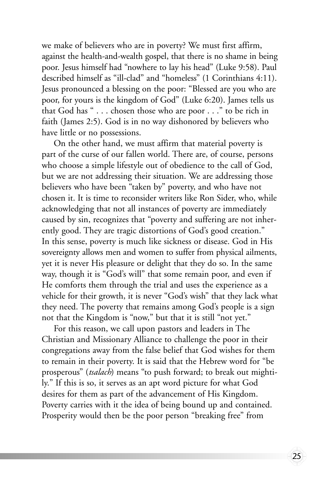we make of believers who are in poverty? We must first affirm, against the health-and-wealth gospel, that there is no shame in being poor. Jesus himself had "nowhere to lay his head" (Luke 9:58). Paul described himself as "ill-clad" and "homeless" (1 Corinthians 4:11). Jesus pronounced a blessing on the poor: "Blessed are you who are poor, for yours is the kingdom of God" (Luke 6:20). James tells us that God has " . . . chosen those who are poor . . ." to be rich in faith (James 2:5). God is in no way dishonored by believers who have little or no possessions.

On the other hand, we must affirm that material poverty is part of the curse of our fallen world. There are, of course, persons who choose a simple lifestyle out of obedience to the call of God, but we are not addressing their situation. We are addressing those believers who have been "taken by" poverty, and who have not chosen it. It is time to reconsider writers like Ron Sider, who, while acknowledging that not all instances of poverty are immediately caused by sin, recognizes that "poverty and suffering are not inherently good. They are tragic distortions of God's good creation." In this sense, poverty is much like sickness or disease. God in His sovereignty allows men and women to suffer from physical ailments, yet it is never His pleasure or delight that they do so. In the same way, though it is "God's will" that some remain poor, and even if He comforts them through the trial and uses the experience as a vehicle for their growth, it is never "God's wish" that they lack what they need. The poverty that remains among God's people is a sign not that the Kingdom is "now," but that it is still "not yet."

For this reason, we call upon pastors and leaders in The Christian and Missionary Alliance to challenge the poor in their congregations away from the false belief that God wishes for them to remain in their poverty. It is said that the Hebrew word for "be prosperous" (*tsalach*) means "to push forward; to break out mightily." If this is so, it serves as an apt word picture for what God desires for them as part of the advancement of His Kingdom. Poverty carries with it the idea of being bound up and contained. Prosperity would then be the poor person "breaking free" from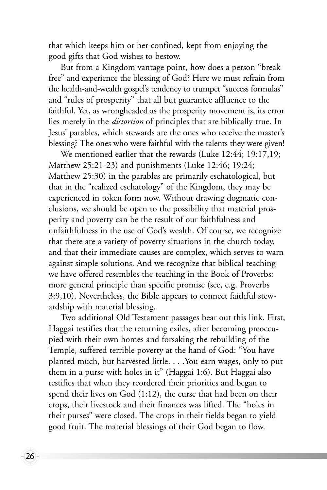that which keeps him or her confined, kept from enjoying the good gifts that God wishes to bestow.

But from a Kingdom vantage point, how does a person "break free" and experience the blessing of God? Here we must refrain from the health-and-wealth gospel's tendency to trumpet "success formulas" and "rules of prosperity" that all but guarantee affluence to the faithful. Yet, as wrongheaded as the prosperity movement is, its error lies merely in the *distortion* of principles that are biblically true. In Jesus' parables, which stewards are the ones who receive the master's blessing? The ones who were faithful with the talents they were given!

We mentioned earlier that the rewards (Luke 12:44; 19:17,19; Matthew 25:21-23) and punishments (Luke 12:46; 19:24; Matthew 25:30) in the parables are primarily eschatological, but that in the "realized eschatology" of the Kingdom, they may be experienced in token form now. Without drawing dogmatic conclusions, we should be open to the possibility that material prosperity and poverty can be the result of our faithfulness and unfaithfulness in the use of God's wealth. Of course, we recognize that there are a variety of poverty situations in the church today, and that their immediate causes are complex, which serves to warn against simple solutions. And we recognize that biblical teaching we have offered resembles the teaching in the Book of Proverbs: more general principle than specific promise (see, e.g. Proverbs 3:9,10). Nevertheless, the Bible appears to connect faithful stewardship with material blessing.

Two additional Old Testament passages bear out this link. First, Haggai testifies that the returning exiles, after becoming preoccupied with their own homes and forsaking the rebuilding of the Temple, suffered terrible poverty at the hand of God: "You have planted much, but harvested little. . . .You earn wages, only to put them in a purse with holes in it" (Haggai 1:6). But Haggai also testifies that when they reordered their priorities and began to spend their lives on God (1:12), the curse that had been on their crops, their livestock and their finances was lifted. The "holes in their purses" were closed. The crops in their fields began to yield good fruit. The material blessings of their God began to flow.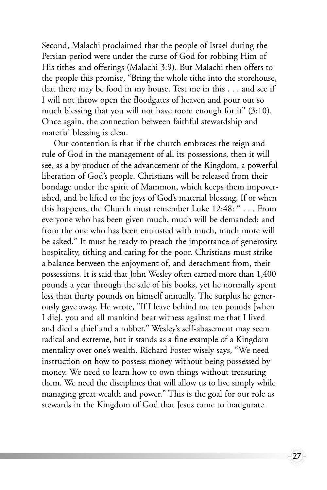Second, Malachi proclaimed that the people of Israel during the Persian period were under the curse of God for robbing Him of His tithes and offerings (Malachi 3:9). But Malachi then offers to the people this promise, "Bring the whole tithe into the storehouse, that there may be food in my house. Test me in this . . . and see if I will not throw open the floodgates of heaven and pour out so much blessing that you will not have room enough for it" (3:10). Once again, the connection between faithful stewardship and material blessing is clear.

Our contention is that if the church embraces the reign and rule of God in the management of all its possessions, then it will see, as a by-product of the advancement of the Kingdom, a powerful liberation of God's people. Christians will be released from their bondage under the spirit of Mammon, which keeps them impoverished, and be lifted to the joys of God's material blessing. If or when this happens, the Church must remember Luke 12:48: " . . . From everyone who has been given much, much will be demanded; and from the one who has been entrusted with much, much more will be asked." It must be ready to preach the importance of generosity, hospitality, tithing and caring for the poor. Christians must strike a balance between the enjoyment of, and detachment from, their possessions. It is said that John Wesley often earned more than 1,400 pounds a year through the sale of his books, yet he normally spent less than thirty pounds on himself annually. The surplus he generously gave away. He wrote, "If I leave behind me ten pounds [when I die], you and all mankind bear witness against me that I lived and died a thief and a robber." Wesley's self-abasement may seem radical and extreme, but it stands as a fine example of a Kingdom mentality over one's wealth. Richard Foster wisely says, "We need instruction on how to possess money without being possessed by money. We need to learn how to own things without treasuring them. We need the disciplines that will allow us to live simply while managing great wealth and power." This is the goal for our role as stewards in the Kingdom of God that Jesus came to inaugurate.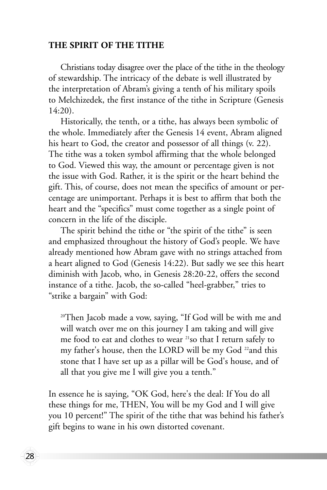#### **THE SPIRIT OF THE TITHE**

Christians today disagree over the place of the tithe in the theology of stewardship. The intricacy of the debate is well illustrated by the interpretation of Abram's giving a tenth of his military spoils to Melchizedek, the first instance of the tithe in Scripture (Genesis 14:20).

Historically, the tenth, or a tithe, has always been symbolic of the whole. Immediately after the Genesis 14 event, Abram aligned his heart to God, the creator and possessor of all things (v. 22). The tithe was a token symbol affirming that the whole belonged to God. Viewed this way, the amount or percentage given is not the issue with God. Rather, it is the spirit or the heart behind the gift. This, of course, does not mean the specifics of amount or percentage are unimportant. Perhaps it is best to affirm that both the heart and the "specifics" must come together as a single point of concern in the life of the disciple.

The spirit behind the tithe or "the spirit of the tithe" is seen and emphasized throughout the history of God's people. We have already mentioned how Abram gave with no strings attached from a heart aligned to God (Genesis 14:22). But sadly we see this heart diminish with Jacob, who, in Genesis 28:20-22, offers the second instance of a tithe. Jacob, the so-called "heel-grabber," tries to "strike a bargain" with God:

<sup>20</sup>Then Jacob made a vow, saying, "If God will be with me and will watch over me on this journey I am taking and will give me food to eat and clothes to wear <sup>21</sup>so that I return safely to my father's house, then the LORD will be my God<sup>22</sup>and this stone that I have set up as a pillar will be God's house, and of all that you give me I will give you a tenth."

In essence he is saying, "OK God, here's the deal: If You do all these things for me, THEN, You will be my God and I will give you 10 percent!" The spirit of the tithe that was behind his father's gift begins to wane in his own distorted covenant.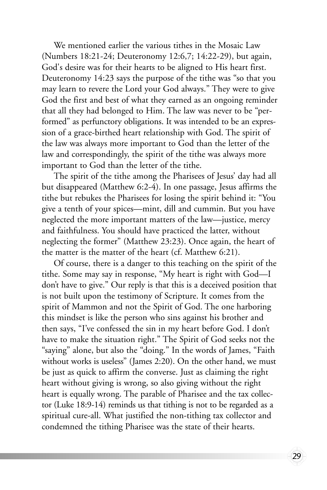We mentioned earlier the various tithes in the Mosaic Law (Numbers 18:21-24; Deuteronomy 12:6,7; 14:22-29), but again, God's desire was for their hearts to be aligned to His heart first. Deuteronomy 14:23 says the purpose of the tithe was "so that you may learn to revere the Lord your God always." They were to give God the first and best of what they earned as an ongoing reminder that all they had belonged to Him. The law was never to be "performed" as perfunctory obligations. It was intended to be an expression of a grace-birthed heart relationship with God. The spirit of the law was always more important to God than the letter of the law and correspondingly, the spirit of the tithe was always more important to God than the letter of the tithe.

The spirit of the tithe among the Pharisees of Jesus' day had all but disappeared (Matthew 6:2-4). In one passage, Jesus affirms the tithe but rebukes the Pharisees for losing the spirit behind it: "You give a tenth of your spices—mint, dill and cummin. But you have neglected the more important matters of the law—justice, mercy and faithfulness. You should have practiced the latter, without neglecting the former" (Matthew 23:23). Once again, the heart of the matter is the matter of the heart (cf. Matthew 6:21).

Of course, there is a danger to this teaching on the spirit of the tithe. Some may say in response, "My heart is right with God—I don't have to give." Our reply is that this is a deceived position that is not built upon the testimony of Scripture. It comes from the spirit of Mammon and not the Spirit of God. The one harboring this mindset is like the person who sins against his brother and then says, "I've confessed the sin in my heart before God. I don't have to make the situation right." The Spirit of God seeks not the "saying" alone, but also the "doing." In the words of James, "Faith without works is useless" (James 2:20). On the other hand, we must be just as quick to affirm the converse. Just as claiming the right heart without giving is wrong, so also giving without the right heart is equally wrong. The parable of Pharisee and the tax collector (Luke 18:9-14) reminds us that tithing is not to be regarded as a spiritual cure-all. What justified the non-tithing tax collector and condemned the tithing Pharisee was the state of their hearts.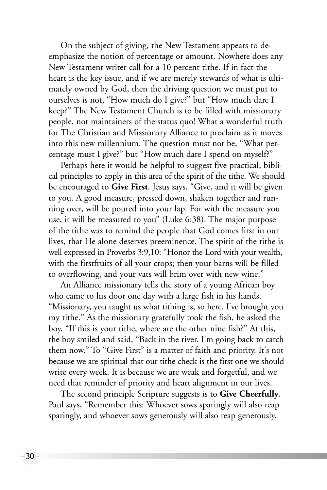On the subject of giving, the New Testament appears to deemphasize the notion of percentage or amount. Nowhere does any New Testament writer call for a 10 percent tithe. If in fact the heart is the key issue, and if we are merely stewards of what is ultimately owned by God, then the driving question we must put to ourselves is not, "How much do I give?" but "How much dare I keep?" The New Testament Church is to be filled with missionary people, not maintainers of the status quo! What a wonderful truth for The Christian and Missionary Alliance to proclaim as it moves into this new millennium. The question must not be, "What percentage must I give?" but "How much dare I spend on myself?"

Perhaps here it would be helpful to suggest five practical, biblical principles to apply in this area of the spirit of the tithe. We should be encouraged to **Give First**. Jesus says, "Give, and it will be given to you. A good measure, pressed down, shaken together and running over, will be poured into your lap. For with the measure you use, it will be measured to you" (Luke 6:38). The major purpose of the tithe was to remind the people that God comes first in our lives, that He alone deserves preeminence. The spirit of the tithe is well expressed in Proverbs 3:9,10: "Honor the Lord with your wealth, with the firstfruits of all your crops; then your barns will be filled to overflowing, and your vats will brim over with new wine."

An Alliance missionary tells the story of a young African boy who came to his door one day with a large fish in his hands. "Missionary, you taught us what tithing is, so here. I've brought you my tithe." As the missionary gratefully took the fish, he asked the boy, "If this is your tithe, where are the other nine fish?" At this, the boy smiled and said, "Back in the river. I'm going back to catch them now." To "Give First" is a matter of faith and priority. It's not because we are spiritual that our tithe check is the first one we should write every week. It is because we are weak and forgetful, and we need that reminder of priority and heart alignment in our lives.

The second principle Scripture suggests is to **Give Cheerfully**. Paul says, "Remember this: Whoever sows sparingly will also reap sparingly, and whoever sows generously will also reap generously.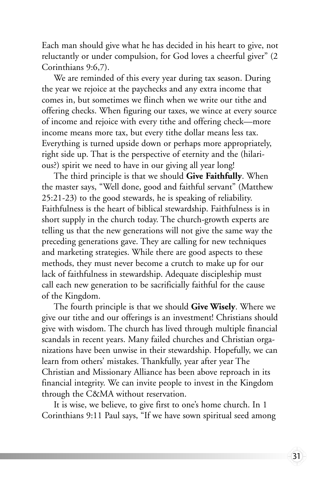Each man should give what he has decided in his heart to give, not reluctantly or under compulsion, for God loves a cheerful giver" (2 Corinthians 9:6,7).

We are reminded of this every year during tax season. During the year we rejoice at the paychecks and any extra income that comes in, but sometimes we flinch when we write our tithe and offering checks. When figuring our taxes, we wince at every source of income and rejoice with every tithe and offering check—more income means more tax, but every tithe dollar means less tax. Everything is turned upside down or perhaps more appropriately, right side up. That is the perspective of eternity and the (hilarious?) spirit we need to have in our giving all year long!

The third principle is that we should **Give Faithfully**. When the master says, "Well done, good and faithful servant" (Matthew 25:21-23) to the good stewards, he is speaking of reliability. Faithfulness is the heart of biblical stewardship. Faithfulness is in short supply in the church today. The church-growth experts are telling us that the new generations will not give the same way the preceding generations gave. They are calling for new techniques and marketing strategies. While there are good aspects to these methods, they must never become a crutch to make up for our lack of faithfulness in stewardship. Adequate discipleship must call each new generation to be sacrificially faithful for the cause of the Kingdom.

The fourth principle is that we should **Give Wisely**. Where we give our tithe and our offerings is an investment! Christians should give with wisdom. The church has lived through multiple financial scandals in recent years. Many failed churches and Christian organizations have been unwise in their stewardship. Hopefully, we can learn from others' mistakes. Thankfully, year after year The Christian and Missionary Alliance has been above reproach in its financial integrity. We can invite people to invest in the Kingdom through the C&MA without reservation.

It is wise, we believe, to give first to one's home church. In 1 Corinthians 9:11 Paul says, "If we have sown spiritual seed among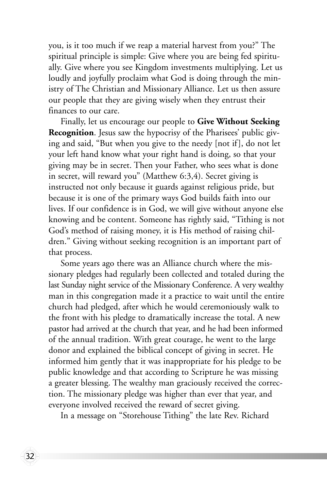you, is it too much if we reap a material harvest from you?" The spiritual principle is simple: Give where you are being fed spiritually. Give where you see Kingdom investments multiplying. Let us loudly and joyfully proclaim what God is doing through the ministry of The Christian and Missionary Alliance. Let us then assure our people that they are giving wisely when they entrust their finances to our care.

Finally, let us encourage our people to **Give Without Seeking Recognition**. Jesus saw the hypocrisy of the Pharisees' public giving and said, "But when you give to the needy [not if], do not let your left hand know what your right hand is doing, so that your giving may be in secret. Then your Father, who sees what is done in secret, will reward you" (Matthew 6:3,4). Secret giving is instructed not only because it guards against religious pride, but because it is one of the primary ways God builds faith into our lives. If our confidence is in God, we will give without anyone else knowing and be content. Someone has rightly said, "Tithing is not God's method of raising money, it is His method of raising children." Giving without seeking recognition is an important part of that process.

Some years ago there was an Alliance church where the missionary pledges had regularly been collected and totaled during the last Sunday night service of the Missionary Conference. A very wealthy man in this congregation made it a practice to wait until the entire church had pledged, after which he would ceremoniously walk to the front with his pledge to dramatically increase the total. A new pastor had arrived at the church that year, and he had been informed of the annual tradition. With great courage, he went to the large donor and explained the biblical concept of giving in secret. He informed him gently that it was inappropriate for his pledge to be public knowledge and that according to Scripture he was missing a greater blessing. The wealthy man graciously received the correction. The missionary pledge was higher than ever that year, and everyone involved received the reward of secret giving.

In a message on "Storehouse Tithing" the late Rev. Richard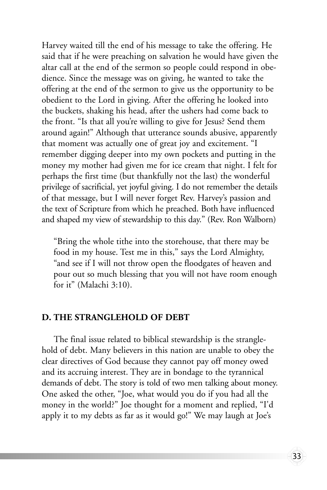Harvey waited till the end of his message to take the offering. He said that if he were preaching on salvation he would have given the altar call at the end of the sermon so people could respond in obedience. Since the message was on giving, he wanted to take the offering at the end of the sermon to give us the opportunity to be obedient to the Lord in giving. After the offering he looked into the buckets, shaking his head, after the ushers had come back to the front. "Is that all you're willing to give for Jesus? Send them around again!" Although that utterance sounds abusive, apparently that moment was actually one of great joy and excitement. "I remember digging deeper into my own pockets and putting in the money my mother had given me for ice cream that night. I felt for perhaps the first time (but thankfully not the last) the wonderful privilege of sacrificial, yet joyful giving. I do not remember the details of that message, but I will never forget Rev. Harvey's passion and the text of Scripture from which he preached. Both have influenced and shaped my view of stewardship to this day." (Rev. Ron Walborn)

"Bring the whole tithe into the storehouse, that there may be food in my house. Test me in this," says the Lord Almighty, "and see if I will not throw open the floodgates of heaven and pour out so much blessing that you will not have room enough for it" (Malachi 3:10).

#### **D. THE STRANGLEHOLD OF DEBT**

The final issue related to biblical stewardship is the stranglehold of debt. Many believers in this nation are unable to obey the clear directives of God because they cannot pay off money owed and its accruing interest. They are in bondage to the tyrannical demands of debt. The story is told of two men talking about money. One asked the other, "Joe, what would you do if you had all the money in the world?" Joe thought for a moment and replied, "I'd apply it to my debts as far as it would go!" We may laugh at Joe's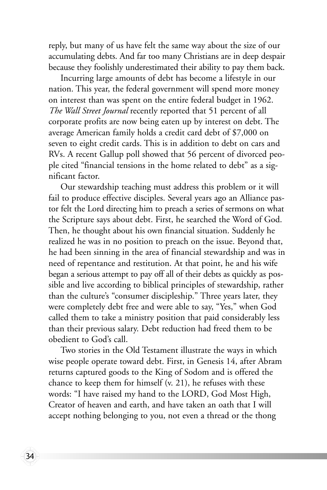reply, but many of us have felt the same way about the size of our accumulating debts. And far too many Christians are in deep despair because they foolishly underestimated their ability to pay them back.

Incurring large amounts of debt has become a lifestyle in our nation. This year, the federal government will spend more money on interest than was spent on the entire federal budget in 1962. *The Wall Street Journal* recently reported that 51 percent of all corporate profits are now being eaten up by interest on debt. The average American family holds a credit card debt of \$7,000 on seven to eight credit cards. This is in addition to debt on cars and RVs. A recent Gallup poll showed that 56 percent of divorced people cited "financial tensions in the home related to debt" as a significant factor.

Our stewardship teaching must address this problem or it will fail to produce effective disciples. Several years ago an Alliance pastor felt the Lord directing him to preach a series of sermons on what the Scripture says about debt. First, he searched the Word of God. Then, he thought about his own financial situation. Suddenly he realized he was in no position to preach on the issue. Beyond that, he had been sinning in the area of financial stewardship and was in need of repentance and restitution. At that point, he and his wife began a serious attempt to pay off all of their debts as quickly as possible and live according to biblical principles of stewardship, rather than the culture's "consumer discipleship." Three years later, they were completely debt free and were able to say, "Yes," when God called them to take a ministry position that paid considerably less than their previous salary. Debt reduction had freed them to be obedient to God's call.

Two stories in the Old Testament illustrate the ways in which wise people operate toward debt. First, in Genesis 14, after Abram returns captured goods to the King of Sodom and is offered the chance to keep them for himself (v. 21), he refuses with these words: "I have raised my hand to the LORD, God Most High, Creator of heaven and earth, and have taken an oath that I will accept nothing belonging to you, not even a thread or the thong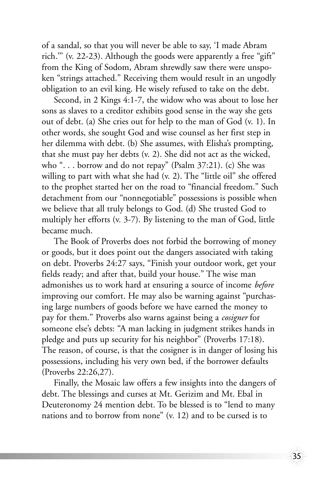of a sandal, so that you will never be able to say, 'I made Abram rich.''' (v. 22-23). Although the goods were apparently a free "gift" from the King of Sodom, Abram shrewdly saw there were unspoken "strings attached." Receiving them would result in an ungodly obligation to an evil king. He wisely refused to take on the debt.

Second, in 2 Kings 4:1-7, the widow who was about to lose her sons as slaves to a creditor exhibits good sense in the way she gets out of debt. (a) She cries out for help to the man of God (v. 1). In other words, she sought God and wise counsel as her first step in her dilemma with debt. (b) She assumes, with Elisha's prompting, that she must pay her debts (v. 2). She did not act as the wicked, who ". . . borrow and do not repay" (Psalm 37:21). (c) She was willing to part with what she had (v. 2). The "little oil" she offered to the prophet started her on the road to "financial freedom." Such detachment from our "nonnegotiable" possessions is possible when we believe that all truly belongs to God. (d) She trusted God to multiply her efforts (v. 3-7). By listening to the man of God, little became much.

The Book of Proverbs does not forbid the borrowing of money or goods, but it does point out the dangers associated with taking on debt. Proverbs 24:27 says, "Finish your outdoor work, get your fields ready; and after that, build your house." The wise man admonishes us to work hard at ensuring a source of income *before* improving our comfort. He may also be warning against "purchasing large numbers of goods before we have earned the money to pay for them." Proverbs also warns against being a *cosigner* for someone else's debts: "A man lacking in judgment strikes hands in pledge and puts up security for his neighbor" (Proverbs 17:18). The reason, of course, is that the cosigner is in danger of losing his possessions, including his very own bed, if the borrower defaults (Proverbs 22:26,27).

Finally, the Mosaic law offers a few insights into the dangers of debt. The blessings and curses at Mt. Gerizim and Mt. Ebal in Deuteronomy 24 mention debt. To be blessed is to "lend to many nations and to borrow from none" (v. 12) and to be cursed is to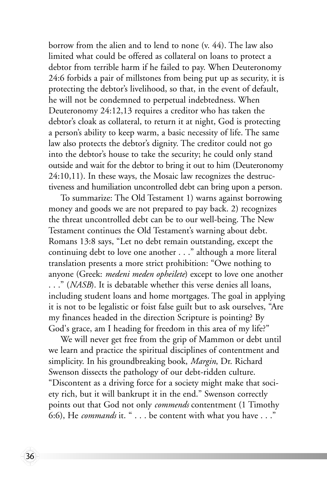borrow from the alien and to lend to none (v. 44). The law also limited what could be offered as collateral on loans to protect a debtor from terrible harm if he failed to pay. When Deuteronomy 24:6 forbids a pair of millstones from being put up as security, it is protecting the debtor's livelihood, so that, in the event of default, he will not be condemned to perpetual indebtedness. When Deuteronomy 24:12,13 requires a creditor who has taken the debtor's cloak as collateral, to return it at night, God is protecting a person's ability to keep warm, a basic necessity of life. The same law also protects the debtor's dignity. The creditor could not go into the debtor's house to take the security; he could only stand outside and wait for the debtor to bring it out to him (Deuteronomy 24:10,11). In these ways, the Mosaic law recognizes the destructiveness and humiliation uncontrolled debt can bring upon a person.

To summarize: The Old Testament 1) warns against borrowing money and goods we are not prepared to pay back. 2) recognizes the threat uncontrolled debt can be to our well-being. The New Testament continues the Old Testament's warning about debt. Romans 13:8 says, "Let no debt remain outstanding, except the continuing debt to love one another . . ." although a more literal translation presents a more strict prohibition: "Owe nothing to anyone (Greek: *medeni meden opheilete*) except to love one another . . ." (*NASB*). It is debatable whether this verse denies all loans, including student loans and home mortgages. The goal in applying it is not to be legalistic or foist false guilt but to ask ourselves, "Are my finances headed in the direction Scripture is pointing? By God's grace, am I heading for freedom in this area of my life?"

We will never get free from the grip of Mammon or debt until we learn and practice the spiritual disciplines of contentment and simplicity. In his groundbreaking book, *Margin*, Dr. Richard Swenson dissects the pathology of our debt-ridden culture. "Discontent as a driving force for a society might make that society rich, but it will bankrupt it in the end." Swenson correctly points out that God not only *commends* contentment (1 Timothy 6:6), He *commands* it. " . . . be content with what you have . . ."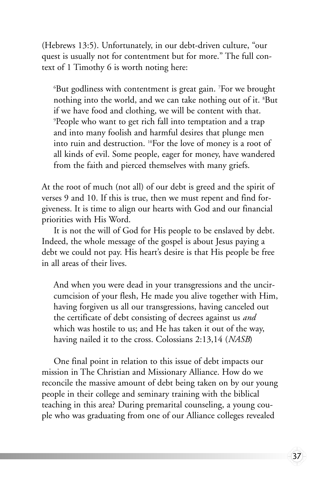(Hebrews 13:5). Unfortunately, in our debt-driven culture, "our quest is usually not for contentment but for more." The full context of 1 Timothy 6 is worth noting here:

 $^6$ But godliness with contentment is great gain.  $^7$ For we brought nothing into the world, and we can take nothing out of it. 8 But if we have food and clothing, we will be content with that. 9 People who want to get rich fall into temptation and a trap and into many foolish and harmful desires that plunge men into ruin and destruction. 10For the love of money is a root of all kinds of evil. Some people, eager for money, have wandered from the faith and pierced themselves with many griefs.

At the root of much (not all) of our debt is greed and the spirit of verses 9 and 10. If this is true, then we must repent and find forgiveness. It is time to align our hearts with God and our financial priorities with His Word.

It is not the will of God for His people to be enslaved by debt. Indeed, the whole message of the gospel is about Jesus paying a debt we could not pay. His heart's desire is that His people be free in all areas of their lives.

And when you were dead in your transgressions and the uncircumcision of your flesh, He made you alive together with Him, having forgiven us all our transgressions, having canceled out the certificate of debt consisting of decrees against us *and* which was hostile to us; and He has taken it out of the way, having nailed it to the cross. Colossians 2:13,14 (*NASB*)

One final point in relation to this issue of debt impacts our mission in The Christian and Missionary Alliance. How do we reconcile the massive amount of debt being taken on by our young people in their college and seminary training with the biblical teaching in this area? During premarital counseling, a young couple who was graduating from one of our Alliance colleges revealed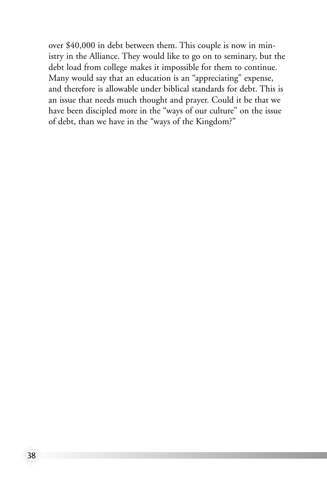over \$40,000 in debt between them. This couple is now in ministry in the Alliance. They would like to go on to seminary, but the debt load from college makes it impossible for them to continue. Many would say that an education is an "appreciating" expense, and therefore is allowable under biblical standards for debt. This is an issue that needs much thought and prayer. Could it be that we have been discipled more in the "ways of our culture" on the issue of debt, than we have in the "ways of the Kingdom?"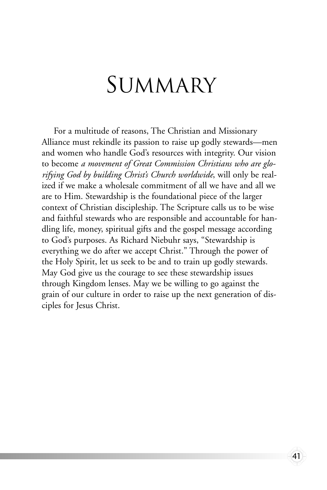### SUMMARY

For a multitude of reasons, The Christian and Missionary Alliance must rekindle its passion to raise up godly stewards—men and women who handle God's resources with integrity. Our vision to become *a movement of Great Commission Christians who are glorifying God by building Christ's Church worldwide*, will only be realized if we make a wholesale commitment of all we have and all we are to Him. Stewardship is the foundational piece of the larger context of Christian discipleship. The Scripture calls us to be wise and faithful stewards who are responsible and accountable for handling life, money, spiritual gifts and the gospel message according to God's purposes. As Richard Niebuhr says, "Stewardship is everything we do after we accept Christ." Through the power of the Holy Spirit, let us seek to be and to train up godly stewards. May God give us the courage to see these stewardship issues through Kingdom lenses. May we be willing to go against the grain of our culture in order to raise up the next generation of disciples for Jesus Christ.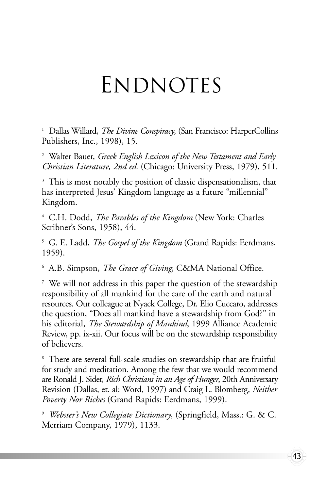## **ENDNOTES**

<sup>1</sup> Dallas Willard, *The Divine Conspiracy*, (San Francisco: HarperCollins Publishers, Inc., 1998), 15.

<sup>2</sup> Walter Bauer, *Greek English Lexicon of the New Testament and Early Christian Literature, 2nd ed*. (Chicago: University Press, 1979), 511.

<sup>3</sup> This is most notably the position of classic dispensationalism, that has interpreted Jesus' Kingdom language as a future "millennial" Kingdom.

<sup>4</sup> C.H. Dodd, *The Parables of the Kingdom* (New York: Charles Scribner's Sons, 1958), 44.

<sup>5</sup> G. E. Ladd, *The Gospel of the Kingdom* (Grand Rapids: Eerdmans, 1959).

<sup>6</sup> A.B. Simpson, *The Grace of Giving*, C&MA National Office.

<sup>7</sup> We will not address in this paper the question of the stewardship responsibility of all mankind for the care of the earth and natural resources. Our colleague at Nyack College, Dr. Elio Cuccaro, addresses the question, "Does all mankind have a stewardship from God?" in his editorial, *The Stewardship of Mankind*, 1999 Alliance Academic Review, pp. ix-xii. Our focus will be on the stewardship responsibility of believers.

<sup>8</sup> There are several full-scale studies on stewardship that are fruitful for study and meditation. Among the few that we would recommend are Ronald J. Sider, *Rich Christians in an Age of Hunger*, 20th Anniversary Revision (Dallas, et. al: Word, 1997) and Craig L. Blomberg, *Neither Poverty Nor Riches* (Grand Rapids: Eerdmans, 1999).

<sup>9</sup> *Webster's New Collegiate Dictionary*, (Springfield, Mass.: G. & C. Merriam Company, 1979), 1133.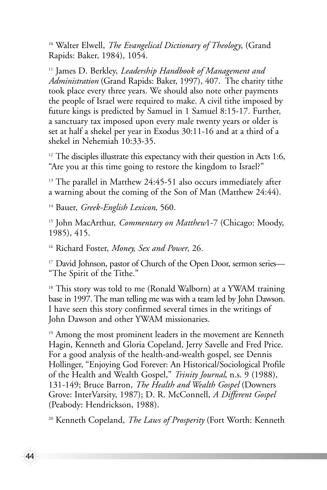<sup>10</sup> Walter Elwell, *The Evangelical Dictionary of Theology*, (Grand Rapids: Baker, 1984), 1054.

<sup>11</sup> James D. Berkley, *Leadership Handbook of Management and Administration* (Grand Rapids: Baker, 1997), 407. The charity tithe took place every three years. We should also note other payments the people of Israel were required to make. A civil tithe imposed by future kings is predicted by Samuel in 1 Samuel 8:15-17. Further, a sanctuary tax imposed upon every male twenty years or older is set at half a shekel per year in Exodus 30:11-16 and at a third of a shekel in Nehemiah 10:33-35.

 $12$  The disciples illustrate this expectancy with their question in Acts 1:6, "Are you at this time going to restore the kingdom to Israel?"

<sup>13</sup> The parallel in Matthew 24:45-51 also occurs immediately after a warning about the coming of the Son of Man (Matthew 24:44).

<sup>14</sup> Bauer, *Greek-English Lexicon*, 560.

44

<sup>15</sup> John MacArthur, *Commentary on Matthew*1-7 (Chicago: Moody, 1985), 415.

<sup>16</sup> Richard Foster, *Money, Sex and Power*, 26.

<sup>17</sup> David Johnson, pastor of Church of the Open Door, sermon series— "The Spirit of the Tithe."

<sup>18</sup> This story was told to me (Ronald Walborn) at a YWAM training base in 1997. The man telling me was with a team led by John Dawson. I have seen this story confirmed several times in the writings of John Dawson and other YWAM missionaries.

<sup>19</sup> Among the most prominent leaders in the movement are Kenneth Hagin, Kenneth and Gloria Copeland, Jerry Savelle and Fred Price. For a good analysis of the health-and-wealth gospel, see Dennis Hollinger, "Enjoying God Forever: An Historical/Sociological Profile of the Health and Wealth Gospel," *Trinity Journal*, n.s. 9 (1988), 131-149; Bruce Barron, *The Health and Wealth Gospel* (Downers Grove: InterVarsity, 1987); D. R. McConnell, *A Different Gospel* (Peabody: Hendrickson, 1988).

<sup>20</sup> Kenneth Copeland, *The Laws of Prosperity* (Fort Worth: Kenneth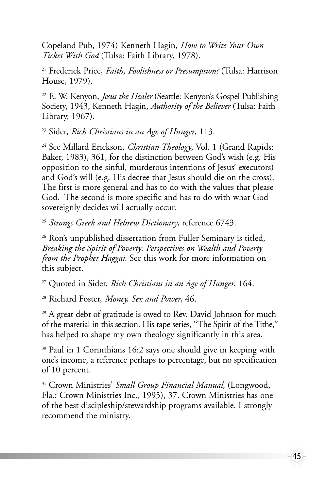Copeland Pub, 1974) Kenneth Hagin, *How to Write Your Own Ticket With God* (Tulsa: Faith Library, 1978).

<sup>21</sup> Frederick Price, *Faith, Foolishness or Presumption?* (Tulsa: Harrison House, 1979).

<sup>22</sup> E. W. Kenyon, *Jesus the Healer* (Seattle: Kenyon's Gospel Publishing Society, 1943, Kenneth Hagin, *Authority of the Believer* (Tulsa: Faith Library, 1967).

<sup>23</sup> Sider, *Rich Christians in an Age of Hunger*, 113.

<sup>24</sup> See Millard Erickson, *Christian Theology*, Vol. 1 (Grand Rapids: Baker, 1983), 361, for the distinction between God's wish (e.g. His opposition to the sinful, murderous intentions of Jesus' executors) and God's will (e.g. His decree that Jesus should die on the cross). The first is more general and has to do with the values that please God. The second is more specific and has to do with what God sovereignly decides will actually occur.

<sup>25</sup> *Strongs Greek and Hebrew Dictionary*, reference 6743.

<sup>26</sup> Ron's unpublished dissertation from Fuller Seminary is titled, *Breaking the Spirit of Poverty: Perspectives on Wealth and Poverty from the Prophet Haggai*. See this work for more information on this subject.

<sup>27</sup> Quoted in Sider, *Rich Christians in an Age of Hunger*, 164.

<sup>28</sup> Richard Foster, *Money, Sex and Power*, 46.

 $29$  A great debt of gratitude is owed to Rev. David Johnson for much of the material in this section. His tape series, "The Spirit of the Tithe," has helped to shape my own theology significantly in this area.

<sup>30</sup> Paul in 1 Corinthians 16:2 says one should give in keeping with one's income, a reference perhaps to percentage, but no specification of 10 percent.

<sup>31</sup> Crown Ministries' *Small Group Financial Manual*, (Longwood, Fla.: Crown Ministries Inc., 1995), 37. Crown Ministries has one of the best discipleship/stewardship programs available. I strongly recommend the ministry.